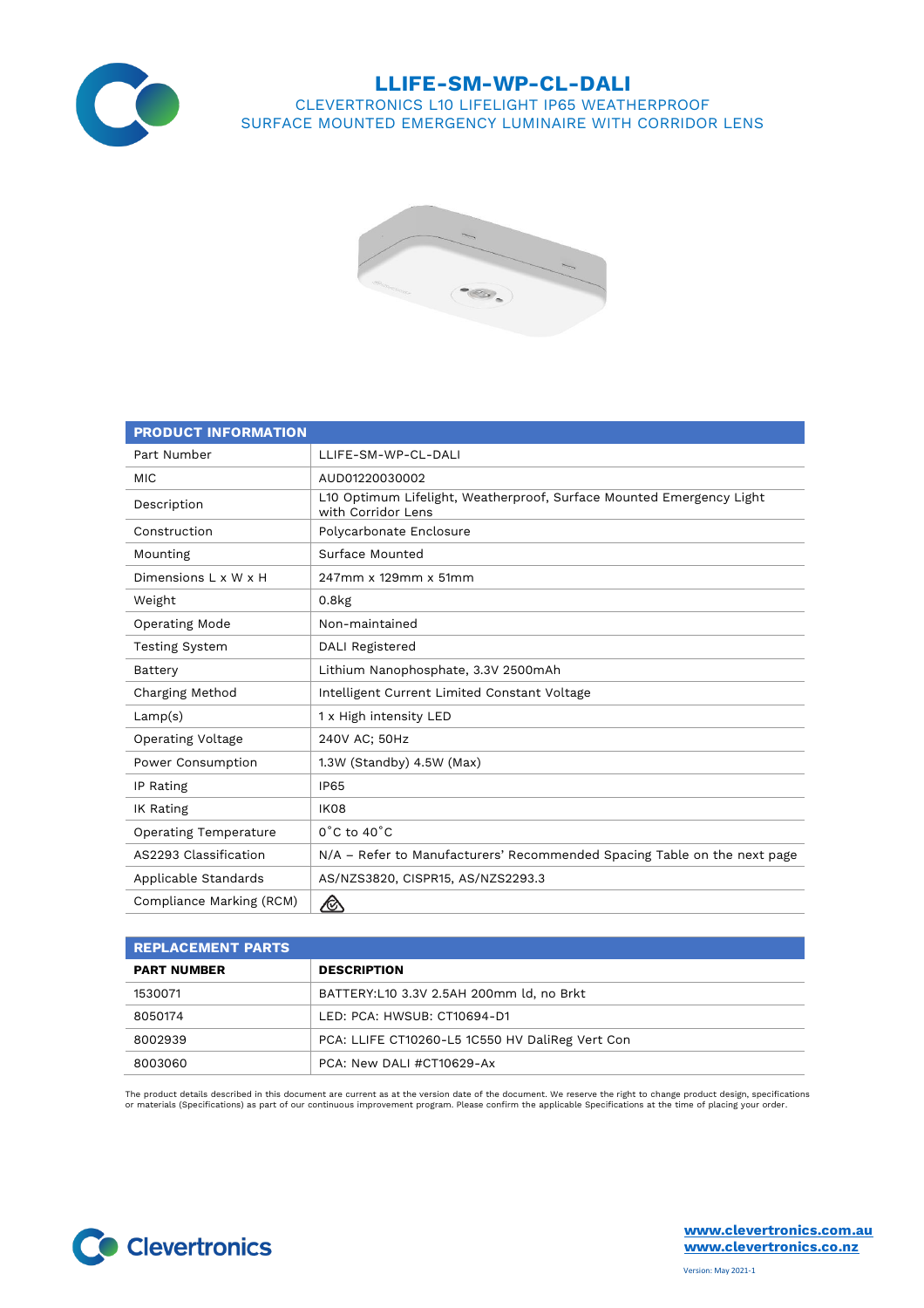

## **LLIFE-SM-WP-CL-DALI**

CLEVERTRONICS L10 LIFELIGHT IP65 WEATHERPROOF SURFACE MOUNTED EMERGENCY LUMINAIRE WITH CORRIDOR LENS



| <b>PRODUCT INFORMATION</b>   |                                                                                            |
|------------------------------|--------------------------------------------------------------------------------------------|
| Part Number                  | LLIFE-SM-WP-CL-DALI                                                                        |
| <b>MIC</b>                   | AUD01220030002                                                                             |
| Description                  | L10 Optimum Lifelight, Weatherproof, Surface Mounted Emergency Light<br>with Corridor Lens |
| Construction                 | Polycarbonate Enclosure                                                                    |
| Mounting                     | Surface Mounted                                                                            |
| Dimensions L x W x H         | 247mm x 129mm x 51mm                                                                       |
| Weight                       | $0.8k$ g                                                                                   |
| Operating Mode               | Non-maintained                                                                             |
| <b>Testing System</b>        | DALI Registered                                                                            |
| Battery                      | Lithium Nanophosphate, 3.3V 2500mAh                                                        |
| Charging Method              | Intelligent Current Limited Constant Voltage                                               |
| Lamp(s)                      | 1 x High intensity LED                                                                     |
| <b>Operating Voltage</b>     | 240V AC; 50Hz                                                                              |
| Power Consumption            | 1.3W (Standby) 4.5W (Max)                                                                  |
| IP Rating                    | <b>IP65</b>                                                                                |
| IK Rating                    | <b>IK08</b>                                                                                |
| <b>Operating Temperature</b> | $0^{\circ}$ C to $40^{\circ}$ C                                                            |
| AS2293 Classification        | N/A - Refer to Manufacturers' Recommended Spacing Table on the next page                   |
| Applicable Standards         | AS/NZS3820, CISPR15, AS/NZS2293.3                                                          |
| Compliance Marking (RCM)     | ⚠                                                                                          |

| <b>REPLACEMENT PARTS</b> |                                                 |
|--------------------------|-------------------------------------------------|
| <b>PART NUMBER</b>       | <b>DESCRIPTION</b>                              |
| 1530071                  | BATTERY:L10 3.3V 2.5AH 200mm ld, no Brkt        |
| 8050174                  | LED: PCA: HWSUB: CT10694-D1                     |
| 8002939                  | PCA: LLIFE CT10260-L5 1C550 HV DaliReg Vert Con |
| 8003060                  | PCA: New DALI #CT10629-Ax                       |

The product details described in this document are current as at the version date of the document. We reserve the right to change product design, specifications<br>or materials (Specifications) as part of our continuous impro